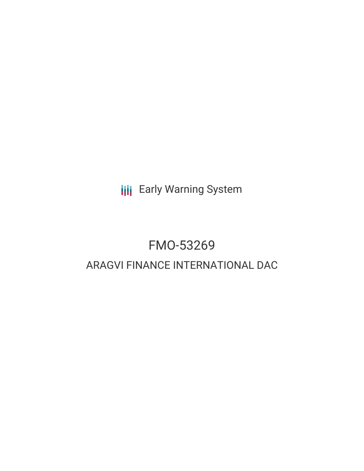**III** Early Warning System

# FMO-53269 ARAGVI FINANCE INTERNATIONAL DAC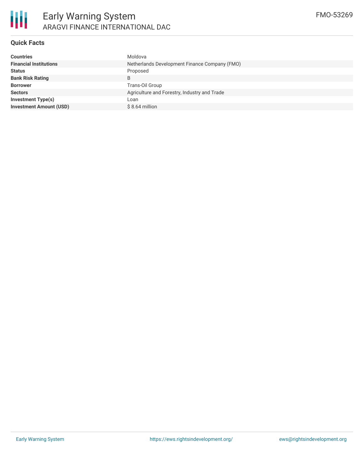### **Quick Facts**

| <b>Countries</b>               | Moldova                                       |  |  |  |
|--------------------------------|-----------------------------------------------|--|--|--|
| <b>Financial Institutions</b>  | Netherlands Development Finance Company (FMO) |  |  |  |
| <b>Status</b>                  | Proposed                                      |  |  |  |
| <b>Bank Risk Rating</b>        | B                                             |  |  |  |
| <b>Borrower</b>                | Trans-Oil Group                               |  |  |  |
| <b>Sectors</b>                 | Agriculture and Forestry, Industry and Trade  |  |  |  |
| <b>Investment Type(s)</b>      | Loan                                          |  |  |  |
| <b>Investment Amount (USD)</b> | $$8.64$ million                               |  |  |  |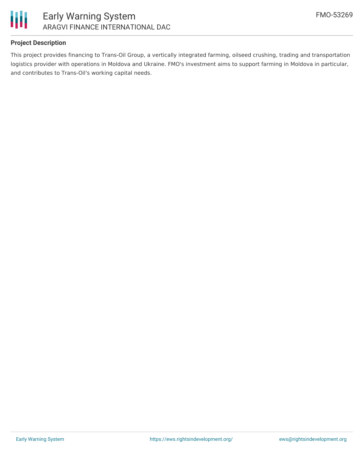

#### **Project Description**

This project provides financing to Trans-Oil Group, a vertically integrated farming, oilseed crushing, trading and transportation logistics provider with operations in Moldova and Ukraine. FMO's investment aims to support farming in Moldova in particular, and contributes to Trans-Oil's working capital needs.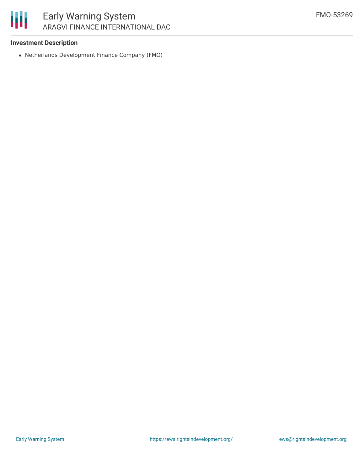#### **Investment Description**

Netherlands Development Finance Company (FMO)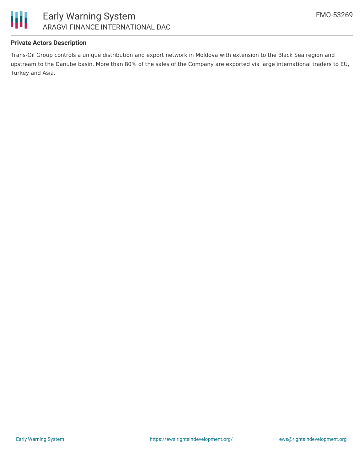

#### **Private Actors Description**

Trans-Oil Group controls a unique distribution and export network in Moldova with extension to the Black Sea region and upstream to the Danube basin. More than 80% of the sales of the Company are exported via large international traders to EU, Turkey and Asia.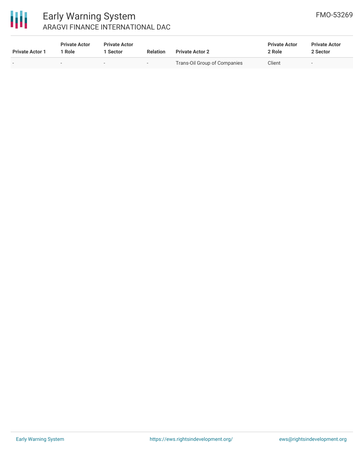

## Early Warning System ARAGVI FINANCE INTERNATIONAL DAC

| <b>Private Actor 1</b> | <b>Private Actor</b><br>Role | <b>Private Actor</b><br><b>Sector</b> | <b>Relation</b>          | <b>Private Actor 2</b>       | <b>Private Actor</b><br>2 Role | <b>Private Actor</b><br>2 Sector |
|------------------------|------------------------------|---------------------------------------|--------------------------|------------------------------|--------------------------------|----------------------------------|
|                        | $\sim$                       | $\overline{\phantom{0}}$              | $\overline{\phantom{0}}$ | Trans-Oil Group of Companies | Client                         | $\overline{\phantom{0}}$         |